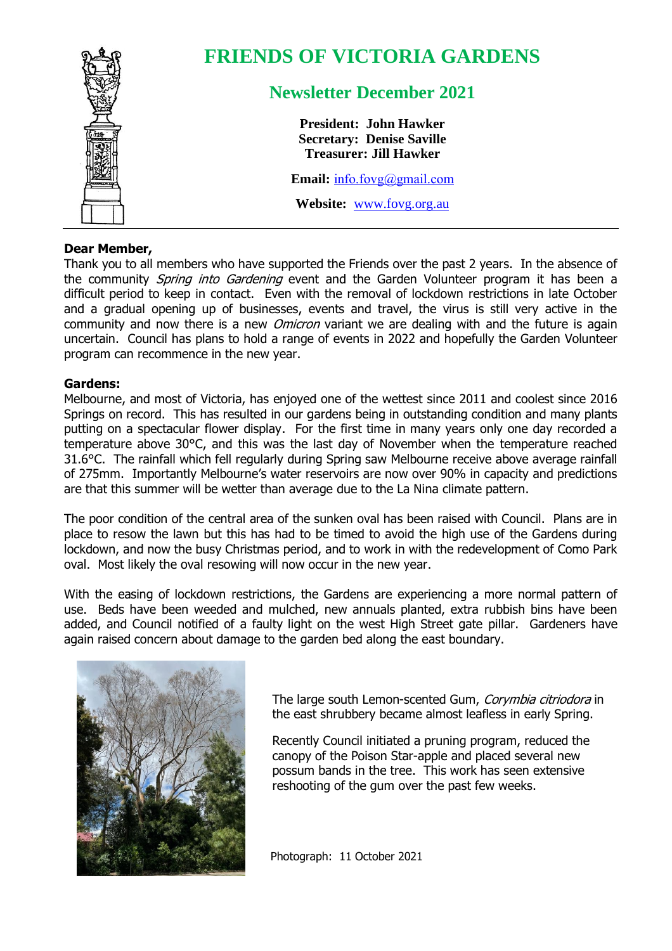

# **FRIENDS OF VICTORIA GARDENS**

## **Newsletter December 2021**

**President: John Hawker Secretary: Denise Saville Treasurer: Jill Hawker**

**Email:** [info.fovg@gmail.com](mailto:info.fovg@gmail.com)

**Website:** [www.fovg.org.au](http://www.fovg.org.au/)

#### **Dear Member,**

Thank you to all members who have supported the Friends over the past 2 years. In the absence of the community Spring into Gardening event and the Garden Volunteer program it has been a difficult period to keep in contact. Even with the removal of lockdown restrictions in late October and a gradual opening up of businesses, events and travel, the virus is still very active in the community and now there is a new *Omicron* variant we are dealing with and the future is again uncertain. Council has plans to hold a range of events in 2022 and hopefully the Garden Volunteer program can recommence in the new year.

#### **Gardens:**

Melbourne, and most of Victoria, has enjoyed one of the wettest since 2011 and coolest since 2016 Springs on record. This has resulted in our gardens being in outstanding condition and many plants putting on a spectacular flower display. For the first time in many years only one day recorded a temperature above 30°C, and this was the last day of November when the temperature reached 31.6°C. The rainfall which fell regularly during Spring saw Melbourne receive above average rainfall of 275mm. Importantly Melbourne's water reservoirs are now over 90% in capacity and predictions are that this summer will be wetter than average due to the La Nina climate pattern.

The poor condition of the central area of the sunken oval has been raised with Council. Plans are in place to resow the lawn but this has had to be timed to avoid the high use of the Gardens during lockdown, and now the busy Christmas period, and to work in with the redevelopment of Como Park oval. Most likely the oval resowing will now occur in the new year.

With the easing of lockdown restrictions, the Gardens are experiencing a more normal pattern of use. Beds have been weeded and mulched, new annuals planted, extra rubbish bins have been added, and Council notified of a faulty light on the west High Street gate pillar. Gardeners have again raised concern about damage to the garden bed along the east boundary.



The large south Lemon-scented Gum, Corymbia citriodora in the east shrubbery became almost leafless in early Spring.

Recently Council initiated a pruning program, reduced the canopy of the Poison Star-apple and placed several new possum bands in the tree. This work has seen extensive reshooting of the gum over the past few weeks.

Photograph: 11 October 2021